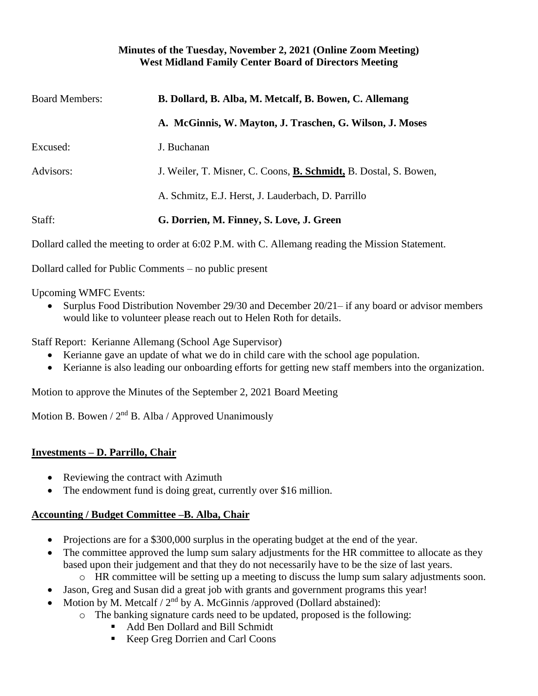#### **Minutes of the Tuesday, November 2, 2021 (Online Zoom Meeting) West Midland Family Center Board of Directors Meeting**

| <b>Board Members:</b> | B. Dollard, B. Alba, M. Metcalf, B. Bowen, C. Allemang                   |
|-----------------------|--------------------------------------------------------------------------|
|                       | A. McGinnis, W. Mayton, J. Traschen, G. Wilson, J. Moses                 |
| Excused:              | J. Buchanan                                                              |
| Advisors:             | J. Weiler, T. Misner, C. Coons, <b>B. Schmidt</b> , B. Dostal, S. Bowen, |
|                       | A. Schmitz, E.J. Herst, J. Lauderbach, D. Parrillo                       |
| Staff:                | G. Dorrien, M. Finney, S. Love, J. Green                                 |

Dollard called the meeting to order at 6:02 P.M. with C. Allemang reading the Mission Statement.

Dollard called for Public Comments – no public present

Upcoming WMFC Events:

• Surplus Food Distribution November 29/30 and December 20/21– if any board or advisor members would like to volunteer please reach out to Helen Roth for details.

Staff Report: Kerianne Allemang (School Age Supervisor)

- Kerianne gave an update of what we do in child care with the school age population.
- Kerianne is also leading our onboarding efforts for getting new staff members into the organization.

Motion to approve the Minutes of the September 2, 2021 Board Meeting

Motion B. Bowen /  $2<sup>nd</sup>$  B. Alba / Approved Unanimously

#### **Investments – D. Parrillo, Chair**

- Reviewing the contract with Azimuth
- The endowment fund is doing great, currently over \$16 million.

## **Accounting / Budget Committee –B. Alba, Chair**

- Projections are for a \$300,000 surplus in the operating budget at the end of the year.
- The committee approved the lump sum salary adjustments for the HR committee to allocate as they based upon their judgement and that they do not necessarily have to be the size of last years.
	- o HR committee will be setting up a meeting to discuss the lump sum salary adjustments soon.
	- Jason, Greg and Susan did a great job with grants and government programs this year!
- Motion by M. Metcalf /  $2<sup>nd</sup>$  by A. McGinnis /approved (Dollard abstained):
	- o The banking signature cards need to be updated, proposed is the following:
		- Add Ben Dollard and Bill Schmidt
		- Keep Greg Dorrien and Carl Coons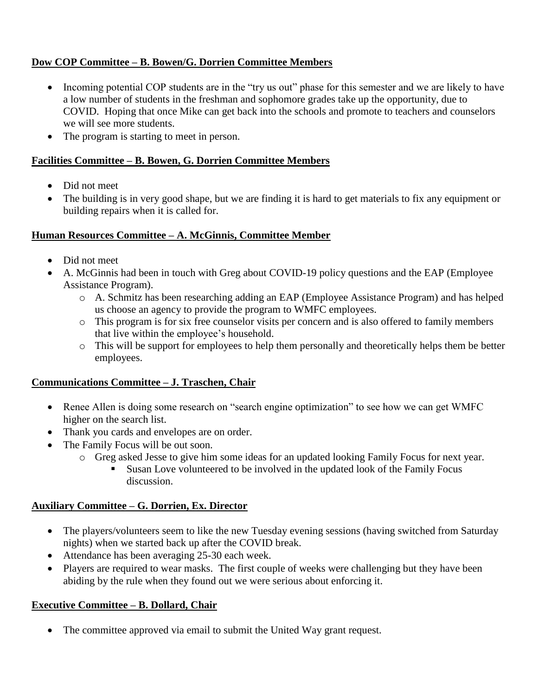## **Dow COP Committee – B. Bowen/G. Dorrien Committee Members**

- Incoming potential COP students are in the "try us out" phase for this semester and we are likely to have a low number of students in the freshman and sophomore grades take up the opportunity, due to COVID. Hoping that once Mike can get back into the schools and promote to teachers and counselors we will see more students.
- The program is starting to meet in person.

#### **Facilities Committee – B. Bowen, G. Dorrien Committee Members**

- Did not meet
- The building is in very good shape, but we are finding it is hard to get materials to fix any equipment or building repairs when it is called for.

#### **Human Resources Committee – A. McGinnis, Committee Member**

- Did not meet
- A. McGinnis had been in touch with Greg about COVID-19 policy questions and the EAP (Employee) Assistance Program).
	- o A. Schmitz has been researching adding an EAP (Employee Assistance Program) and has helped us choose an agency to provide the program to WMFC employees.
	- o This program is for six free counselor visits per concern and is also offered to family members that live within the employee's household.
	- o This will be support for employees to help them personally and theoretically helps them be better employees.

## **Communications Committee – J. Traschen, Chair**

- Renee Allen is doing some research on "search engine optimization" to see how we can get WMFC higher on the search list.
- Thank you cards and envelopes are on order.
- The Family Focus will be out soon.
	- o Greg asked Jesse to give him some ideas for an updated looking Family Focus for next year.
		- Susan Love volunteered to be involved in the updated look of the Family Focus discussion.

## **Auxiliary Committee – G. Dorrien, Ex. Director**

- The players/volunteers seem to like the new Tuesday evening sessions (having switched from Saturday nights) when we started back up after the COVID break.
- Attendance has been averaging 25-30 each week.
- Players are required to wear masks. The first couple of weeks were challenging but they have been abiding by the rule when they found out we were serious about enforcing it.

## **Executive Committee – B. Dollard, Chair**

• The committee approved via email to submit the United Way grant request.